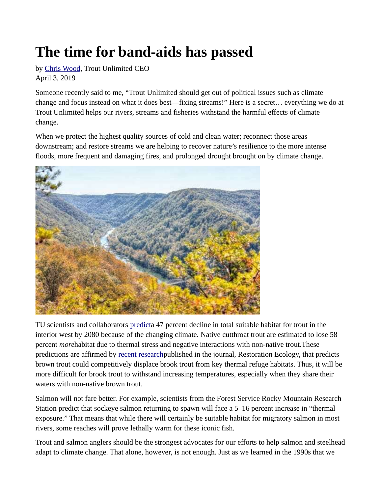## The time for band-aids has passed

by Chris Wood, Trout Unlimited CEO April 3, 2019

Someone recently said to me, "Trout Unlimited should get out of political issues such as climate change and focus instead on what it does best—fixing streams!" Here is a secret… everything we do at Trout Unlimited helps our rivers, streams and fisheries withstand the harmful effects of climate change.

When we protect the highest quality sources of cold and clean water; reconnect those areas downstream; and restore streams we are helping to recover nature's resilience to the more intense floods, more frequent and damaging fires, and prolonged drought brought on by climate change.



TU scientists and collaborators predicta 47 percent decline in total suitable habitat for trout in the interior west by 2080 because of the changing climate. Native cutthroat trout are estimated to lose 58 percent *morehabitat due to thermal stress and negative interactions with non-native trout. These* predictions are affirmed by recent researchpublished in the journal, Restoration Ecology, that predicts brown trout could competitively displace brook trout from key thermal refuge habitats. Thus, it will be more difficult for brook trout to withstand increasing temperatures, especially when they share their waters with non-native brown trout.

Salmon will not fare better. For example, scientists from the Forest Service Rocky Mountain Research Station predict that sockeye salmon returning to spawn will face a 5–16 percent increase in "thermal exposure." That means that while there will certainly be suitable habitat for migratory salmon in most rivers, some reaches will prove lethally warm for these iconic fish.

Trout and salmon anglers should be the strongest advocates for our efforts to help salmon and steelhead adapt to climate change. That alone, however, is not enough. Just as we learned in the 1990s that we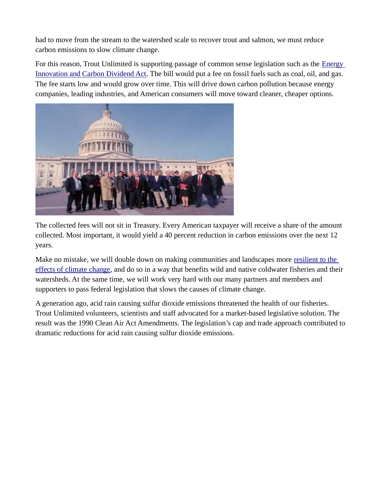had to move from the stream to the watershed scale to recover trout and salmon, we must reduce carbon emissions to slow climate change.

For this reason, Trout Unlimited is supporting passage of common sense legislation such as the **Energy** Innovation and Carbon Dividend Act. The bill would put a fee on fossil fuels such as coal, oil, and gas. The fee starts low and would grow over time. This will drive down carbon pollution because energy companies, leading industries, and American consumers will move toward cleaner, cheaper options.



The collected fees will not sit in Treasury. Every American taxpayer will receive a share of the amount collected. Most important, it would yield a 40 percent reduction in carbon emissions over the next 12 years.

Make no mistake, we will double down on making communities and landscapes more resilient to the effects of climate change, and do so in a way that benefits wild and native coldwater fisheries and their watersheds. At the same time, we will work very hard with our many partners and members and supporters to pass federal legislation that slows the causes of climate change.

A generation ago, acid rain causing sulfur dioxide emissions threatened the health of our fisheries. Trout Unlimited volunteers, scientists and staff advocated for a market-based legislative solution. The result was the 1990 Clean Air Act Amendments. The legislation's cap and trade approach contributed to dramatic reductions for acid rain causing sulfur dioxide emissions.